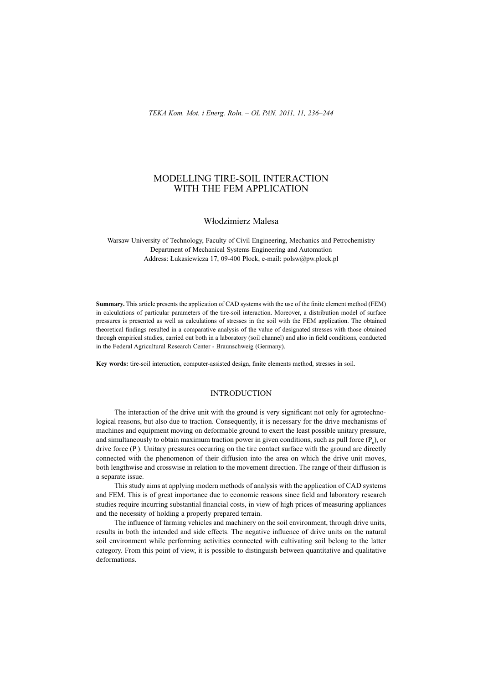# MODELLING TIRE-SOIL INTERACTION WITH THE FEM APPLICATION

### Wáodzimierz Malesa

Warsaw University of Technology, Faculty of Civil Engineering, Mechanics and Petrochemistry Department of Mechanical Systems Engineering and Automation Address: Łukasiewicza 17, 09-400 Płock, e-mail: polsw@pw.plock.pl

**Summary.** This article presents the application of CAD systems with the use of the finite element method (FEM) in calculations of particular parameters of the tire-soil interaction. Moreover, a distribution model of surface pressures is presented as well as calculations of stresses in the soil with the FEM application. The obtained theoretical findings resulted in a comparative analysis of the value of designated stresses with those obtained through empirical studies, carried out both in a laboratory (soil channel) and also in field conditions, conducted in the Federal Agricultural Research Center - Braunschweig (Germany).

Key words: tire-soil interaction, computer-assisted design, finite elements method, stresses in soil.

## **INTRODUCTION**

The interaction of the drive unit with the ground is very significant not only for agrotechnological reasons, but also due to traction. Consequently, it is necessary for the drive mechanisms of machines and equipment moving on deformable ground to exert the least possible unitary pressure, and simultaneously to obtain maximum traction power in given conditions, such as pull force  $(P<sub>u</sub>)$ , or drive force  $(P_j)$ . Unitary pressures occurring on the tire contact surface with the ground are directly connected with the phenomenon of their diffusion into the area on which the drive unit moves, both lengthwise and crosswise in relation to the movement direction. The range of their diffusion is a separate issue.

This study aims at applying modern methods of analysis with the application of CAD systems and FEM. This is of great importance due to economic reasons since field and laboratory research studies require incurring substantial financial costs, in view of high prices of measuring appliances and the necessity of holding a properly prepared terrain.

The influence of farming vehicles and machinery on the soil environment, through drive units, results in both the intended and side effects. The negative influence of drive units on the natural soil environment while performing activities connected with cultivating soil belong to the latter category. From this point of view, it is possible to distinguish between quantitative and qualitative deformations.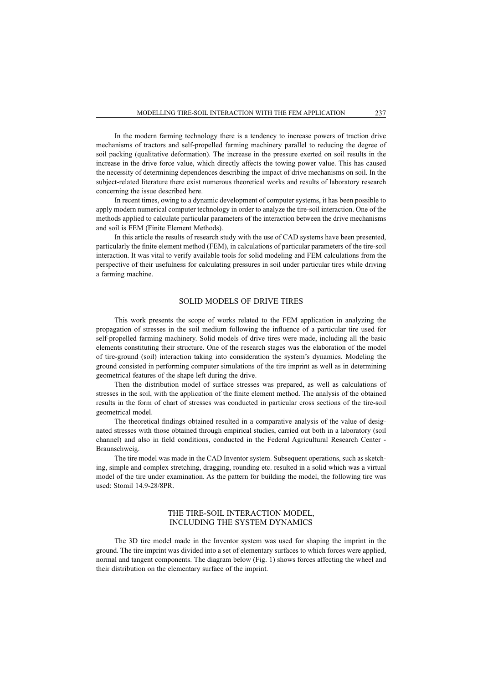In the modern farming technology there is a tendency to increase powers of traction drive mechanisms of tractors and self-propelled farming machinery parallel to reducing the degree of soil packing (qualitative deformation). The increase in the pressure exerted on soil results in the increase in the drive force value, which directly affects the towing power value. This has caused the necessity of determining dependences describing the impact of drive mechanisms on soil. In the subject-related literature there exist numerous theoretical works and results of laboratory research concerning the issue described here.

In recent times, owing to a dynamic development of computer systems, it has been possible to apply modern numerical computer technology in order to analyze the tire-soil interaction. One of the methods applied to calculate particular parameters of the interaction between the drive mechanisms and soil is FEM (Finite Element Methods).

In this article the results of research study with the use of CAD systems have been presented, particularly the finite element method (FEM), in calculations of particular parameters of the tire-soil interaction. It was vital to verify available tools for solid modeling and FEM calculations from the perspective of their usefulness for calculating pressures in soil under particular tires while driving a farming machine.

#### SOLID MODELS OF DRIVE TIRES

This work presents the scope of works related to the FEM application in analyzing the propagation of stresses in the soil medium following the influence of a particular tire used for self-propelled farming machinery. Solid models of drive tires were made, including all the basic elements constituting their structure. One of the research stages was the elaboration of the model of tire-ground (soil) interaction taking into consideration the system's dynamics. Modeling the ground consisted in performing computer simulations of the tire imprint as well as in determining geometrical features of the shape left during the drive.

Then the distribution model of surface stresses was prepared, as well as calculations of stresses in the soil, with the application of the finite element method. The analysis of the obtained results in the form of chart of stresses was conducted in particular cross sections of the tire-soil geometrical model.

The theoretical findings obtained resulted in a comparative analysis of the value of designated stresses with those obtained through empirical studies, carried out both in a laboratory (soil channel) and also in field conditions, conducted in the Federal Agricultural Research Center -Braunschweig.

The tire model was made in the CAD Inventor system. Subsequent operations, such as sketching, simple and complex stretching, dragging, rounding etc. resulted in a solid which was a virtual model of the tire under examination. As the pattern for building the model, the following tire was used: Stomil 14.9-28/8PR.

#### THE TIRE-SOIL INTERACTION MODEL, INCLUDING THE SYSTEM DYNAMICS

The 3D tire model made in the Inventor system was used for shaping the imprint in the ground. The tire imprint was divided into a set of elementary surfaces to which forces were applied, normal and tangent components. The diagram below (Fig. 1) shows forces affecting the wheel and their distribution on the elementary surface of the imprint.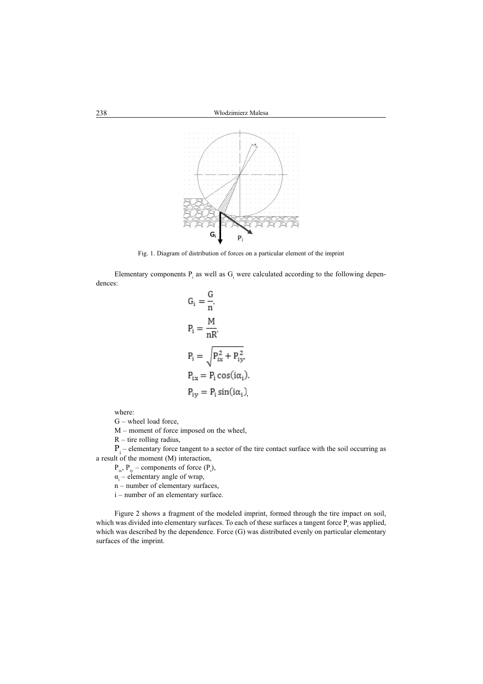

Fig. 1. Diagram of distribution of forces on a particular element of the imprint

Elementary components  $P_i$  as well as  $G_i$  were calculated according to the following dependences:

$$
G_i = \frac{G}{n}
$$
  
\n
$$
P_i = \frac{M}{nR'}
$$
  
\n
$$
P_i = \sqrt{P_{ix}^2 + P_{iy}^2},
$$
  
\n
$$
P_{ix} = P_i \cos(i\alpha_i),
$$
  
\n
$$
P_{iy} = P_i \sin(i\alpha_i),
$$

where:

G – wheel load force,

M – moment of force imposed on the wheel,

 $R$  – tire rolling radius,

 $P_i$  – elementary force tangent to a sector of the tire contact surface with the soil occurring as a result of the moment (M) interaction,

 $P_{ix}$ ,  $P_{iy}$  – components of force  $(P_i)$ ,

 $\alpha_{i}$  – elementary angle of wrap,

 $n$  – number of elementary surfaces,

i – number of an elementary surface.

Figure 2 shows a fragment of the modeled imprint, formed through the tire impact on soil, which was divided into elementary surfaces. To each of these surfaces a tangent force  $P_i$  was applied, which was described by the dependence. Force (G) was distributed evenly on particular elementary surfaces of the imprint.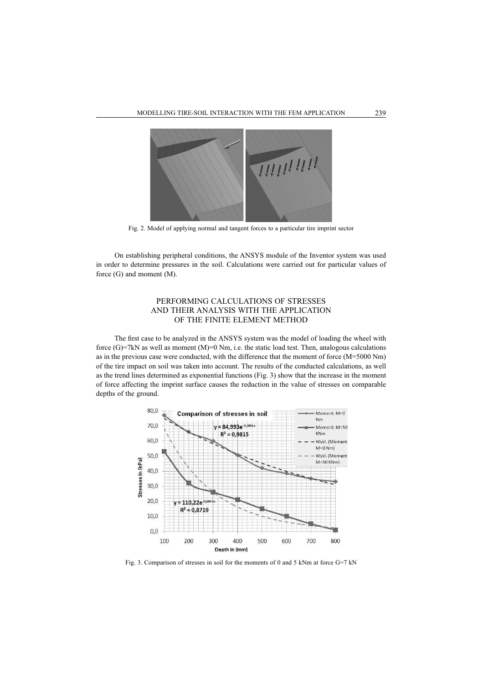

Fig. 2. Model of applying normal and tangent forces to a particular tire imprint sector

On establishing peripheral conditions, the ANSYS module of the Inventor system was used in order to determine pressures in the soil. Calculations were carried out for particular values of force (G) and moment (M).

### PERFORMING CALCULATIONS OF STRESSES AND THEIR ANALYSIS WITH THE APPLICATION OF THE FINITE ELEMENT METHOD

The first case to be analyzed in the ANSYS system was the model of loading the wheel with force  $(G)=7kN$  as well as moment  $(M)=0$  Nm, i.e. the static load test. Then, analogous calculations as in the previous case were conducted, with the difference that the moment of force (M=5000 Nm) of the tire impact on soil was taken into account. The results of the conducted calculations, as well as the trend lines determined as exponential functions (Fig. 3) show that the increase in the moment of force affecting the imprint surface causes the reduction in the value of stresses on comparable depths of the ground.



Fig. 3. Comparison of stresses in soil for the moments of 0 and 5 kNm at force G=7 kN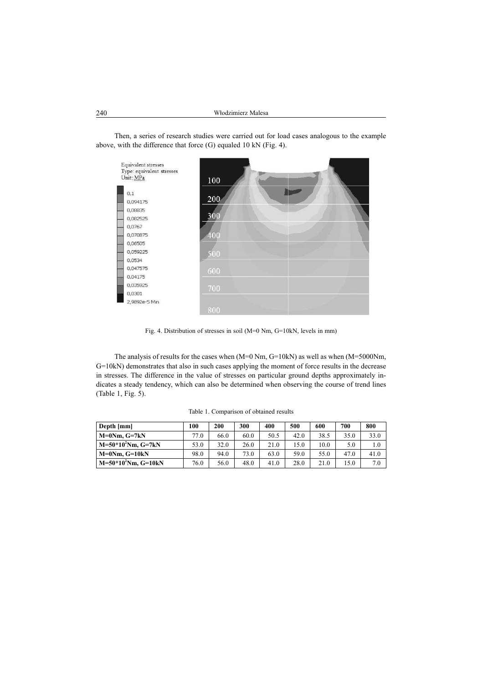

Then, a series of research studies were carried out for load cases analogous to the example above, with the difference that force (G) equaled 10 kN (Fig. 4).

Fig. 4. Distribution of stresses in soil (M=0 Nm, G=10kN, levels in mm)

The analysis of results for the cases when (M=0 Nm, G=10kN) as well as when (M=5000Nm, G=10kN) demonstrates that also in such cases applying the moment of force results in the decrease in stresses. The difference in the value of stresses on particular ground depths approximately indicates a steady tendency, which can also be determined when observing the course of trend lines (Table 1, Fig. 5).

| Depth [mm]              | 100  | 200  | 300  | 400  | 500  | 600  | 700  | 800  |
|-------------------------|------|------|------|------|------|------|------|------|
| $M=0Nm$ . $G=7kN$       | 77.0 | 66.0 | 60.0 | 50.5 | 42.0 | 38.5 | 35.0 | 33.0 |
| $M = 50*102Nm, G = 7kN$ | 53.0 | 32.0 | 26.0 | 21.0 | 15.0 | 10.0 | 5.0  | 1.0  |
| $M=0Nm$ . $G=10kN$      | 98.0 | 94.0 | 73.0 | 63.0 | 59.0 | 55.0 | 47.0 | 41.0 |
| $M = 50*102Nm$ , G=10kN | 76.0 | 56.0 | 48.0 | 41.0 | 28.0 | 21.0 | 15.0 | 7.0  |

Table 1. Comparison of obtained results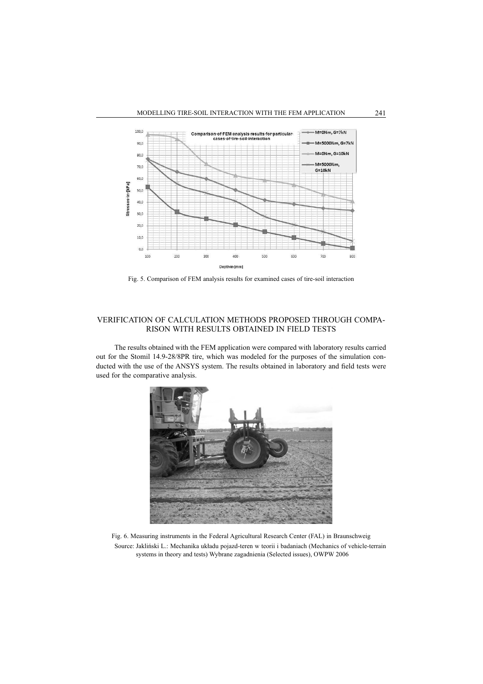

Fig. 5. Comparison of FEM analysis results for examined cases of tire-soil interaction

### VERIFICATION OF CALCULATION METHODS PROPOSED THROUGH COMPA-RISON WITH RESULTS OBTAINED IN FIELD TESTS

The results obtained with the FEM application were compared with laboratory results carried out for the Stomil 14.9-28/8PR tire, which was modeled for the purposes of the simulation conducted with the use of the ANSYS system. The results obtained in laboratory and field tests were used for the comparative analysis.



Fig. 6. Measuring instruments in the Federal Agricultural Research Center (FAL) in Braunschweig Source: Jakliński L.: Mechanika układu pojazd-teren w teorii i badaniach (Mechanics of vehicle-terrain systems in theory and tests) Wybrane zagadnienia (Selected issues), OWPW 2006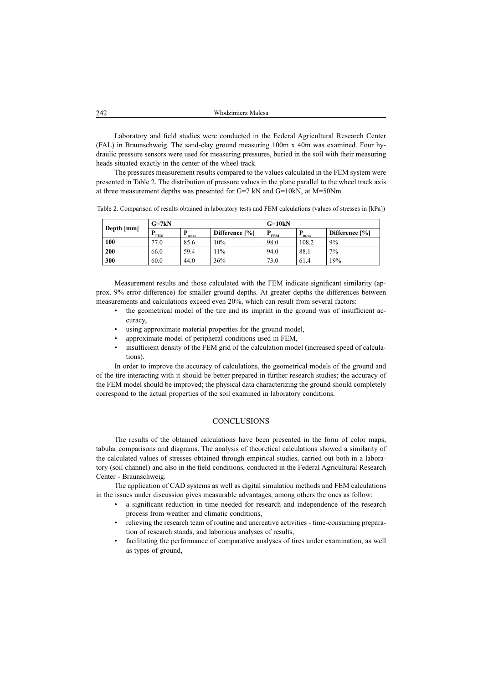Laboratory and field studies were conducted in the Federal Agricultural Research Center (FAL) in Braunschweig. The sand-clay ground measuring 100m x 40m was examined. Four hydraulic pressure sensors were used for measuring pressures, buried in the soil with their measuring heads situated exactly in the center of the wheel track.

The pressures measurement results compared to the values calculated in the FEM system were presented in Table 2. The distribution of pressure values in the plane parallel to the wheel track axis at three measurement depths was presented for G=7 kN and G=10kN, at M=50Nm.

Table 2. Comparison of results obtained in laboratory tests and FEM calculations (values of stresses in [kPa])

|            | $G=7kN$         |      |                | $G=10kN$   |       |                |  |
|------------|-----------------|------|----------------|------------|-------|----------------|--|
| Depth [mm] | D<br><b>FEM</b> | meas | Difference [%] | <b>FEM</b> | meas  | Difference [%] |  |
| 100        | 77.0            | 85.6 | 10%            | 98.0       | 108.2 | 9%             |  |
| 200        | 66.0            | 59.4 | 11%            | 94.0       | 88.1  | $7\%$          |  |
| 300        | 60.0            | 44.0 | 36%            | 73.0       | 61.4  | 19%            |  |

Measurement results and those calculated with the FEM indicate significant similarity (approx. 9% error difference) for smaller ground depths. At greater depths the differences between measurements and calculations exceed even 20%, which can result from several factors:

- the geometrical model of the tire and its imprint in the ground was of insufficient accuracy,
- using approximate material properties for the ground model,
- approximate model of peripheral conditions used in FEM,
- insufficient density of the FEM grid of the calculation model (increased speed of calculations).

In order to improve the accuracy of calculations, the geometrical models of the ground and of the tire interacting with it should be better prepared in further research studies; the accuracy of the FEM model should be improved; the physical data characterizing the ground should completely correspond to the actual properties of the soil examined in laboratory conditions.

#### **CONCLUSIONS**

The results of the obtained calculations have been presented in the form of color maps, tabular comparisons and diagrams. The analysis of theoretical calculations showed a similarity of the calculated values of stresses obtained through empirical studies, carried out both in a laboratory (soil channel) and also in the field conditions, conducted in the Federal Agricultural Research Center - Braunschweig.

The application of CAD systems as well as digital simulation methods and FEM calculations in the issues under discussion gives measurable advantages, among others the ones as follow:

- a significant reduction in time needed for research and independence of the research process from weather and climatic conditions,
- relieving the research team of routine and uncreative activities time-consuming preparation of research stands, and laborious analyses of results,
- facilitating the performance of comparative analyses of tires under examination, as well as types of ground,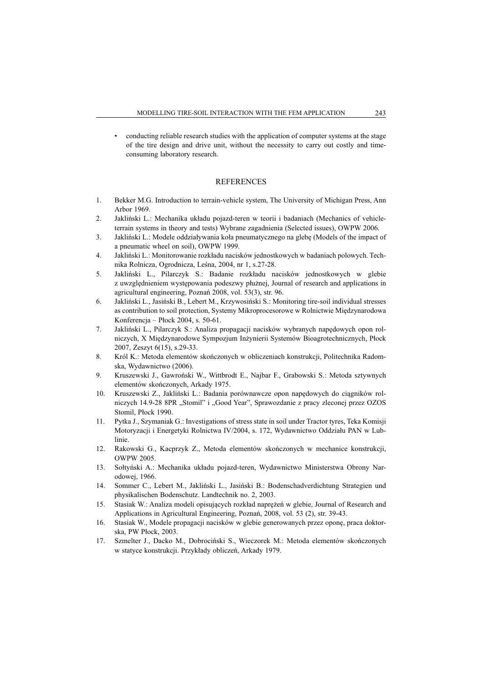• conducting reliable research studies with the application of computer systems at the stage of the tire design and drive unit, without the necessity to carry out costly and timeconsuming laboratory research.

#### REFERENCES

- 1. Bekker M.G. Introduction to terrain-vehicle system, The University of Michigan Press, Ann Arbor 1969.
- 2. Jakliński L.: Mechanika układu pojazd-teren w teorii i badaniach (Mechanics of vehicleterrain systems in theory and tests) Wybrane zagadnienia (Selected issues), OWPW 2006.
- 3. Jakliński L.: Modele oddziaływania koła pneumatycznego na glebe (Models of the impact of a pneumatic wheel on soil), OWPW 1999.
- 4. Jakliński L.: Monitorowanie rozkładu nacisków jednostkowych w badaniach polowych. Technika Rolnicza, Ogrodnicza, Leśna, 2004, nr 1, s.27-28.
- 5. Jakliński L., Pilarczyk S.: Badanie rozkładu nacisków jednostkowych w glebie z uwzglednieniem wystepowania podeszwy płużnej, Journal of research and applications in agricultural engineering, Poznań 2008, vol. 53(3), str. 96.
- 6. Jakliński L., Jasiński B., Lebert M., Krzywosiński S.: Monitoring tire-soil individual stresses as contribution to soil protection, Systemy Mikroprocesorowe w Rolnictwie Międzynarodowa Konferencja – Páock 2004, s. 50-61.
- 7. Jakliński L., Pilarczyk S.: Analiza propagacji nacisków wybranych napędowych opon rolniczych, X Międzynarodowe Sympozjum Inżynierii Systemów Bioagrotechnicznych, Płock 2007, Zeszyt 6(15), s.29-33.
- 8. Król K.: Metoda elementów skończonych w obliczeniach konstrukcji, Politechnika Radomska, Wydawnictwo (2006).
- 9. Kruszewski J., Gawroński W., Wittbrodt E., Najbar F., Grabowski S.: Metoda sztywnych elementów skończonych, Arkady 1975.
- 10. Kruszewski Z., Jakliński L.: Badania porównawcze opon napędowych do ciągników rolniczych 14.9-28 8PR "Stomil" i "Good Year", Sprawozdanie z pracy zleconej przez OZOS Stomil, Płock 1990.
- 11. Pytka J., Szymaniak G.: Investigations of stress state in soil under Tractor tyres, Teka Komisji Motoryzacji i Energetyki Rolnictwa IV/2004, s. 172, Wydawnictwo Oddziaáu PAN w Lublinie.
- 12. Rakowski G., Kacprzyk Z., Metoda elementów skończonych w mechanice konstrukcji, OWPW 2005.
- 13. Sołtyński A.: Mechanika układu pojazd-teren, Wydawnictwo Ministerstwa Obrony Narodowej, 1966.
- 14. Sommer C., Lebert M., Jakliński L., Jasiński B.: Bodenschadverdichtung Strategien und physikalischen Bodenschutz. Landtechnik no. 2, 2003.
- 15. Stasiak W.: Analiza modeli opisujących rozkład napreżeń w glebie, Journal of Research and Applications in Agricultural Engineering, Poznań, 2008, vol. 53 (2), str. 39-43.
- 16. Stasiak W., Modele propagacji nacisków w glebie generowanych przez oponę, praca doktorska, PW Płock, 2003.
- 17. Szmelter J., Dacko M., Dobrociński S., Wieczorek M.: Metoda elementów skończonych w statyce konstrukcji. Przykłady obliczeń, Arkady 1979.